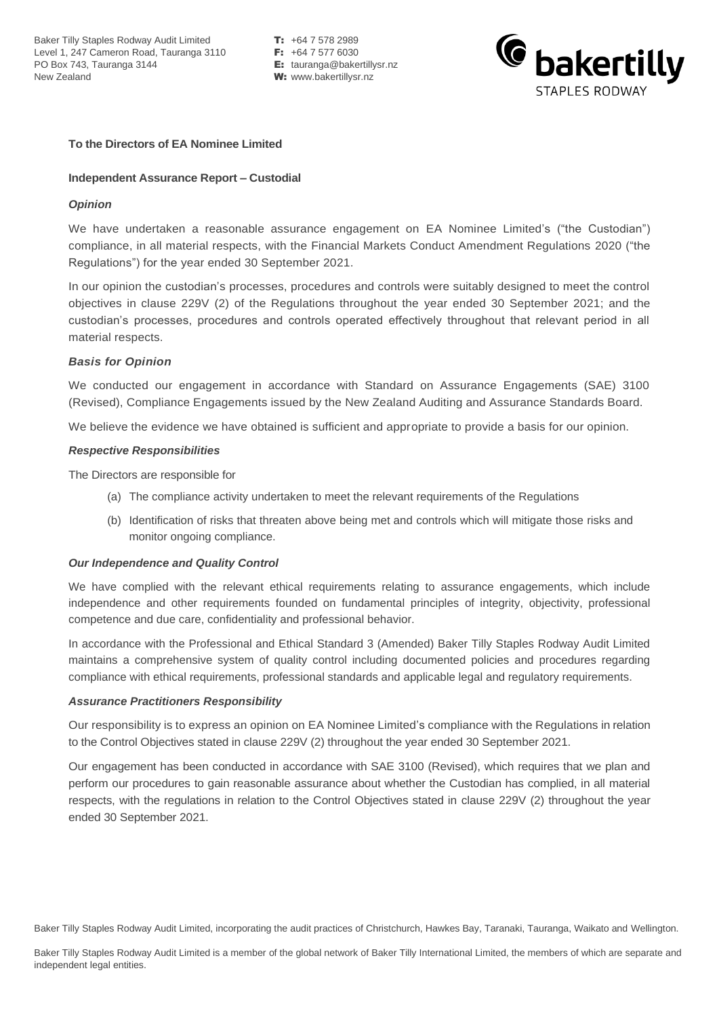Baker Tilly Staples Rodway Audit Limited **T:** +64 7 578 2989<br>Level 1. 247 Cameron Road. Tauranga 3110 **F:** +64 7 577 6030 Level 1, 247 Cameron Road, Tauranga 3110<br>PO Box 743, Tauranga 3144 New Zealand **W:** www.bakertillysr.nz

**E:** tauranga@bakertillysr.nz



## **To the Directors of EA Nominee Limited**

## **Independent Assurance Report – Custodial**

# *Opinion*

We have undertaken a reasonable assurance engagement on EA Nominee Limited's ("the Custodian") compliance, in all material respects, with the Financial Markets Conduct Amendment Regulations 2020 ("the Regulations") for the year ended 30 September 2021.

In our opinion the custodian's processes, procedures and controls were suitably designed to meet the control objectives in clause 229V (2) of the Regulations throughout the year ended 30 September 2021; and the custodian's processes, procedures and controls operated effectively throughout that relevant period in all material respects.

# *Basis for Opinion*

We conducted our engagement in accordance with Standard on Assurance Engagements (SAE) 3100 (Revised), Compliance Engagements issued by the New Zealand Auditing and Assurance Standards Board.

We believe the evidence we have obtained is sufficient and appropriate to provide a basis for our opinion.

### *Respective Responsibilities*

The Directors are responsible for

- (a) The compliance activity undertaken to meet the relevant requirements of the Regulations
- (b) Identification of risks that threaten above being met and controls which will mitigate those risks and monitor ongoing compliance.

## *Our Independence and Quality Control*

We have complied with the relevant ethical requirements relating to assurance engagements, which include independence and other requirements founded on fundamental principles of integrity, objectivity, professional competence and due care, confidentiality and professional behavior.

In accordance with the Professional and Ethical Standard 3 (Amended) Baker Tilly Staples Rodway Audit Limited maintains a comprehensive system of quality control including documented policies and procedures regarding compliance with ethical requirements, professional standards and applicable legal and regulatory requirements.

### *Assurance Practitioners Responsibility*

Our responsibility is to express an opinion on EA Nominee Limited's compliance with the Regulations in relation to the Control Objectives stated in clause 229V (2) throughout the year ended 30 September 2021.

Our engagement has been conducted in accordance with SAE 3100 (Revised), which requires that we plan and perform our procedures to gain reasonable assurance about whether the Custodian has complied, in all material respects, with the regulations in relation to the Control Objectives stated in clause 229V (2) throughout the year ended 30 September 2021.

Baker Tilly Staples Rodway Audit Limited, incorporating the audit practices of Christchurch, Hawkes Bay, Taranaki, Tauranga, Waikato and Wellington.

Baker Tilly Staples Rodway Audit Limited is a member of the global network of Baker Tilly International Limited, the members of which are separate and independent legal entities.